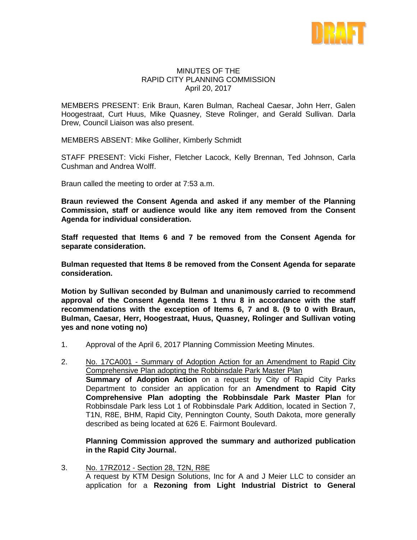

#### MINUTES OF THE RAPID CITY PLANNING COMMISSION April 20, 2017

MEMBERS PRESENT: Erik Braun, Karen Bulman, Racheal Caesar, John Herr, Galen Hoogestraat, Curt Huus, Mike Quasney, Steve Rolinger, and Gerald Sullivan. Darla Drew, Council Liaison was also present.

MEMBERS ABSENT: Mike Golliher, Kimberly Schmidt

STAFF PRESENT: Vicki Fisher, Fletcher Lacock, Kelly Brennan, Ted Johnson, Carla Cushman and Andrea Wolff.

Braun called the meeting to order at 7:53 a.m.

**Braun reviewed the Consent Agenda and asked if any member of the Planning Commission, staff or audience would like any item removed from the Consent Agenda for individual consideration.**

**Staff requested that Items 6 and 7 be removed from the Consent Agenda for separate consideration.**

**Bulman requested that Items 8 be removed from the Consent Agenda for separate consideration.**

**Motion by Sullivan seconded by Bulman and unanimously carried to recommend approval of the Consent Agenda Items 1 thru 8 in accordance with the staff recommendations with the exception of Items 6, 7 and 8. (9 to 0 with Braun, Bulman, Caesar, Herr, Hoogestraat, Huus, Quasney, Rolinger and Sullivan voting yes and none voting no)**

- 1. Approval of the April 6, 2017 Planning Commission Meeting Minutes.
- 2. No. 17CA001 Summary of Adoption Action for an Amendment to Rapid City Comprehensive Plan adopting the Robbinsdale Park Master Plan **Summary of Adoption Action** on a request by City of Rapid City Parks Department to consider an application for an **Amendment to Rapid City Comprehensive Plan adopting the Robbinsdale Park Master Plan** for Robbinsdale Park less Lot 1 of Robbinsdale Park Addition, located in Section 7, T1N, R8E, BHM, Rapid City, Pennington County, South Dakota, more generally described as being located at 626 E. Fairmont Boulevard.

**Planning Commission approved the summary and authorized publication in the Rapid City Journal.**

3. No. 17RZ012 - Section 28, T2N, R8E A request by KTM Design Solutions, Inc for A and J Meier LLC to consider an application for a **Rezoning from Light Industrial District to General**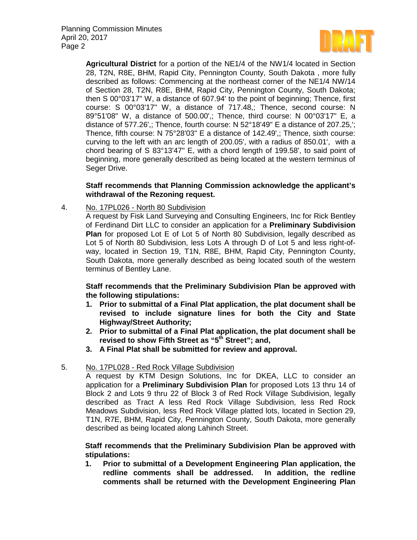

**Agricultural District** for a portion of the NE1/4 of the NW1/4 located in Section 28, T2N, R8E, BHM, Rapid City, Pennington County, South Dakota , more fully described as follows: Commencing at the northeast corner of the NE1/4 NW/14 of Section 28, T2N, R8E, BHM, Rapid City, Pennington County, South Dakota; then S 00°03'17" W, a distance of 607.94' to the point of beginning; Thence, first course: S 00°03'17" W, a distance of 717.48,; Thence, second course: N 89°51'08" W, a distance of 500.00',; Thence, third course: N 00°03'17" E, a distance of 577.26',; Thence, fourth course: N 52°18'49" E a distance of 207.25,'; Thence, fifth course: N 75°28'03" E a distance of 142.49',; Thence, sixth course: curving to the left with an arc length of 200.05', with a radius of 850.01', with a chord bearing of S 83°13'47" E, with a chord length of 199.58', to said point of beginning, more generally described as being located at the western terminus of Seger Drive.

# **Staff recommends that Planning Commission acknowledge the applicant's withdrawal of the Rezoning request.**

4. No. 17PL026 - North 80 Subdivision

A request by Fisk Land Surveying and Consulting Engineers, Inc for Rick Bentley of Ferdinand Dirt LLC to consider an application for a **Preliminary Subdivision Plan** for proposed Lot E of Lot 5 of North 80 Subdivision, legally described as Lot 5 of North 80 Subdivision, less Lots A through D of Lot 5 and less right-ofway, located in Section 19, T1N, R8E, BHM, Rapid City, Pennington County, South Dakota, more generally described as being located south of the western terminus of Bentley Lane.

### **Staff recommends that the Preliminary Subdivision Plan be approved with the following stipulations:**

- **1. Prior to submittal of a Final Plat application, the plat document shall be revised to include signature lines for both the City and State Highway/Street Authority;**
- **2. Prior to submittal of a Final Plat application, the plat document shall be revised to show Fifth Street as "5th Street"; and,**
- **3. A Final Plat shall be submitted for review and approval.**

# 5. No. 17PL028 - Red Rock Village Subdivision

A request by KTM Design Solutions, Inc for DKEA, LLC to consider an application for a **Preliminary Subdivision Plan** for proposed Lots 13 thru 14 of Block 2 and Lots 9 thru 22 of Block 3 of Red Rock Village Subdivision, legally described as Tract A less Red Rock Village Subdivision, less Red Rock Meadows Subdivision, less Red Rock Village platted lots, located in Section 29, T1N, R7E, BHM, Rapid City, Pennington County, South Dakota, more generally described as being located along Lahinch Street.

### **Staff recommends that the Preliminary Subdivision Plan be approved with stipulations:**

**1. Prior to submittal of a Development Engineering Plan application, the**  redline comments shall be addressed. **comments shall be returned with the Development Engineering Plan**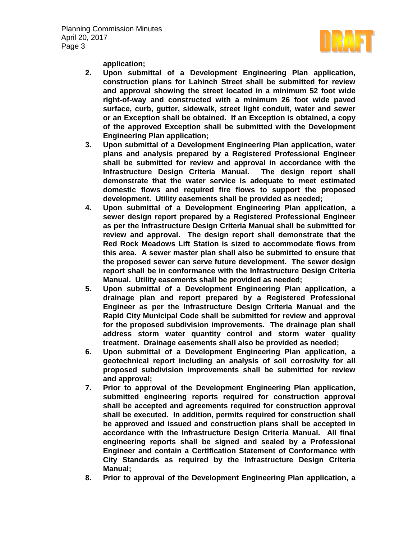

**application;** 

- **2. Upon submittal of a Development Engineering Plan application, construction plans for Lahinch Street shall be submitted for review and approval showing the street located in a minimum 52 foot wide right-of-way and constructed with a minimum 26 foot wide paved surface, curb, gutter, sidewalk, street light conduit, water and sewer or an Exception shall be obtained. If an Exception is obtained, a copy of the approved Exception shall be submitted with the Development Engineering Plan application;**
- **3. Upon submittal of a Development Engineering Plan application, water plans and analysis prepared by a Registered Professional Engineer shall be submitted for review and approval in accordance with the Infrastructure Design Criteria Manual. The design report shall demonstrate that the water service is adequate to meet estimated domestic flows and required fire flows to support the proposed development. Utility easements shall be provided as needed;**
- **4. Upon submittal of a Development Engineering Plan application, a sewer design report prepared by a Registered Professional Engineer as per the Infrastructure Design Criteria Manual shall be submitted for review and approval. The design report shall demonstrate that the Red Rock Meadows Lift Station is sized to accommodate flows from this area. A sewer master plan shall also be submitted to ensure that the proposed sewer can serve future development. The sewer design report shall be in conformance with the Infrastructure Design Criteria Manual. Utility easements shall be provided as needed;**
- **5. Upon submittal of a Development Engineering Plan application, a drainage plan and report prepared by a Registered Professional Engineer as per the Infrastructure Design Criteria Manual and the Rapid City Municipal Code shall be submitted for review and approval for the proposed subdivision improvements. The drainage plan shall address storm water quantity control and storm water quality treatment. Drainage easements shall also be provided as needed;**
- **6. Upon submittal of a Development Engineering Plan application, a geotechnical report including an analysis of soil corrosivity for all proposed subdivision improvements shall be submitted for review and approval;**
- **7. Prior to approval of the Development Engineering Plan application, submitted engineering reports required for construction approval shall be accepted and agreements required for construction approval shall be executed. In addition, permits required for construction shall be approved and issued and construction plans shall be accepted in accordance with the Infrastructure Design Criteria Manual. All final engineering reports shall be signed and sealed by a Professional Engineer and contain a Certification Statement of Conformance with City Standards as required by the Infrastructure Design Criteria Manual;**
- **8. Prior to approval of the Development Engineering Plan application, a**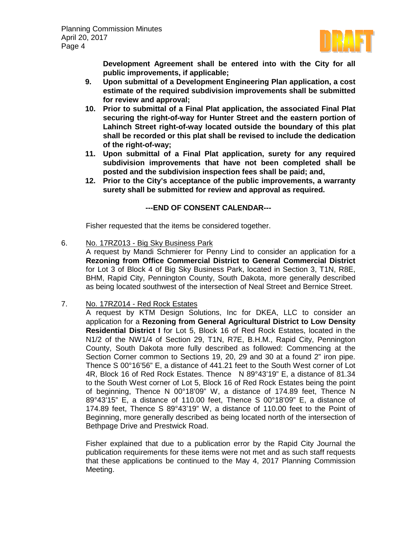

**Development Agreement shall be entered into with the City for all public improvements, if applicable;**

- **9. Upon submittal of a Development Engineering Plan application, a cost estimate of the required subdivision improvements shall be submitted for review and approval;**
- **10. Prior to submittal of a Final Plat application, the associated Final Plat securing the right-of-way for Hunter Street and the eastern portion of Lahinch Street right-of-way located outside the boundary of this plat shall be recorded or this plat shall be revised to include the dedication of the right-of-way;**
- **11. Upon submittal of a Final Plat application, surety for any required subdivision improvements that have not been completed shall be posted and the subdivision inspection fees shall be paid; and,**
- **12. Prior to the City's acceptance of the public improvements, a warranty surety shall be submitted for review and approval as required.**

# **---END OF CONSENT CALENDAR---**

Fisher requested that the items be considered together.

6. No. 17RZ013 - Big Sky Business Park

A request by Mandi Schmierer for Penny Lind to consider an application for a **Rezoning from Office Commercial District to General Commercial District** for Lot 3 of Block 4 of Big Sky Business Park, located in Section 3, T1N, R8E, BHM, Rapid City, Pennington County, South Dakota, more generally described as being located southwest of the intersection of Neal Street and Bernice Street.

7. No. 17RZ014 - Red Rock Estates

A request by KTM Design Solutions, Inc for DKEA, LLC to consider an application for a **Rezoning from General Agricultural District to Low Density Residential District I** for Lot 5, Block 16 of Red Rock Estates, located in the N1/2 of the NW1/4 of Section 29, T1N, R7E, B.H.M., Rapid City, Pennington County, South Dakota more fully described as followed: Commencing at the Section Corner common to Sections 19, 20, 29 and 30 at a found 2" iron pipe. Thence S 00°16'56" E, a distance of 441.21 feet to the South West corner of Lot 4R, Block 16 of Red Rock Estates. Thence N 89°43'19" E, a distance of 81.34 to the South West corner of Lot 5, Block 16 of Red Rock Estates being the point of beginning, Thence N 00°18'09" W, a distance of 174.89 feet, Thence N 89°43'15" E, a distance of 110.00 feet, Thence S 00°18'09" E, a distance of 174.89 feet, Thence S 89°43'19" W, a distance of 110.00 feet to the Point of Beginning, more generally described as being located north of the intersection of Bethpage Drive and Prestwick Road.

Fisher explained that due to a publication error by the Rapid City Journal the publication requirements for these items were not met and as such staff requests that these applications be continued to the May 4, 2017 Planning Commission Meeting.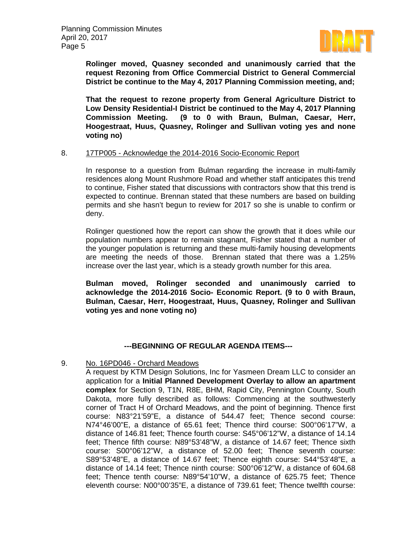

**Rolinger moved, Quasney seconded and unanimously carried that the request Rezoning from Office Commercial District to General Commercial District be continue to the May 4, 2017 Planning Commission meeting, and;** 

**That the request to rezone property from General Agriculture District to Low Density Residential-I District be continued to the May 4, 2017 Planning Commission Meeting. (9 to 0 with Braun, Bulman, Caesar, Herr, Hoogestraat, Huus, Quasney, Rolinger and Sullivan voting yes and none voting no)**

#### 8. 17TP005 - Acknowledge the 2014-2016 Socio-Economic Report

In response to a question from Bulman regarding the increase in multi-family residences along Mount Rushmore Road and whether staff anticipates this trend to continue, Fisher stated that discussions with contractors show that this trend is expected to continue. Brennan stated that these numbers are based on building permits and she hasn't begun to review for 2017 so she is unable to confirm or deny.

Rolinger questioned how the report can show the growth that it does while our population numbers appear to remain stagnant, Fisher stated that a number of the younger population is returning and these multi-family housing developments are meeting the needs of those. Brennan stated that there was a 1.25% increase over the last year, which is a steady growth number for this area.

**Bulman moved, Rolinger seconded and unanimously carried to acknowledge the 2014-2016 Socio- Economic Report. (9 to 0 with Braun, Bulman, Caesar, Herr, Hoogestraat, Huus, Quasney, Rolinger and Sullivan voting yes and none voting no)**

# **---BEGINNING OF REGULAR AGENDA ITEMS---**

#### 9. No. 16PD046 - Orchard Meadows

A request by KTM Design Solutions, Inc for Yasmeen Dream LLC to consider an application for a **Initial Planned Development Overlay to allow an apartment complex** for Section 9, T1N, R8E, BHM, Rapid City, Pennington County, South Dakota, more fully described as follows: Commencing at the southwesterly corner of Tract H of Orchard Meadows, and the point of beginning. Thence first course: N83°21'59"E, a distance of 544.47 feet; Thence second course: N74°46'00"E, a distance of 65.61 feet; Thence third course: S00°06'17"W, a distance of 146.81 feet; Thence fourth course: S45°06'12"W, a distance of 14.14 feet; Thence fifth course: N89°53'48"W, a distance of 14.67 feet; Thence sixth course: S00°06'12"W, a distance of 52.00 feet; Thence seventh course: S89°53'48"E, a distance of 14.67 feet; Thence eighth course: S44°53'48"E, a distance of 14.14 feet; Thence ninth course: S00°06'12"W, a distance of 604.68 feet; Thence tenth course: N89°54'10"W, a distance of 625.75 feet; Thence eleventh course: N00°00'35"E, a distance of 739.61 feet; Thence twelfth course: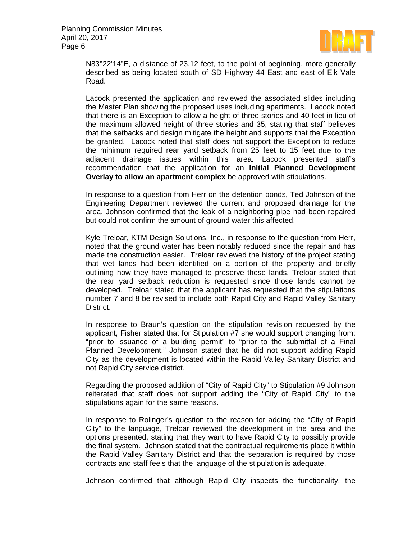

N83°22'14"E, a distance of 23.12 feet, to the point of beginning, more generally described as being located south of SD Highway 44 East and east of Elk Vale Road.

Lacock presented the application and reviewed the associated slides including the Master Plan showing the proposed uses including apartments. Lacock noted that there is an Exception to allow a height of three stories and 40 feet in lieu of the maximum allowed height of three stories and 35, stating that staff believes that the setbacks and design mitigate the height and supports that the Exception be granted. Lacock noted that staff does not support the Exception to reduce the minimum required rear yard setback from 25 feet to 15 feet due to the adjacent drainage issues within this area. Lacock presented staff's recommendation that the application for an **Initial Planned Development Overlay to allow an apartment complex** be approved with stipulations.

In response to a question from Herr on the detention ponds, Ted Johnson of the Engineering Department reviewed the current and proposed drainage for the area. Johnson confirmed that the leak of a neighboring pipe had been repaired but could not confirm the amount of ground water this affected.

Kyle Treloar, KTM Design Solutions, Inc., in response to the question from Herr, noted that the ground water has been notably reduced since the repair and has made the construction easier. Treloar reviewed the history of the project stating that wet lands had been identified on a portion of the property and briefly outlining how they have managed to preserve these lands. Treloar stated that the rear yard setback reduction is requested since those lands cannot be developed. Treloar stated that the applicant has requested that the stipulations number 7 and 8 be revised to include both Rapid City and Rapid Valley Sanitary District.

In response to Braun's question on the stipulation revision requested by the applicant, Fisher stated that for Stipulation #7 she would support changing from: "prior to issuance of a building permit" to "prior to the submittal of a Final Planned Development." Johnson stated that he did not support adding Rapid City as the development is located within the Rapid Valley Sanitary District and not Rapid City service district.

Regarding the proposed addition of "City of Rapid City" to Stipulation #9 Johnson reiterated that staff does not support adding the "City of Rapid City" to the stipulations again for the same reasons.

In response to Rolinger's question to the reason for adding the "City of Rapid City" to the language, Treloar reviewed the development in the area and the options presented, stating that they want to have Rapid City to possibly provide the final system. Johnson stated that the contractual requirements place it within the Rapid Valley Sanitary District and that the separation is required by those contracts and staff feels that the language of the stipulation is adequate.

Johnson confirmed that although Rapid City inspects the functionality, the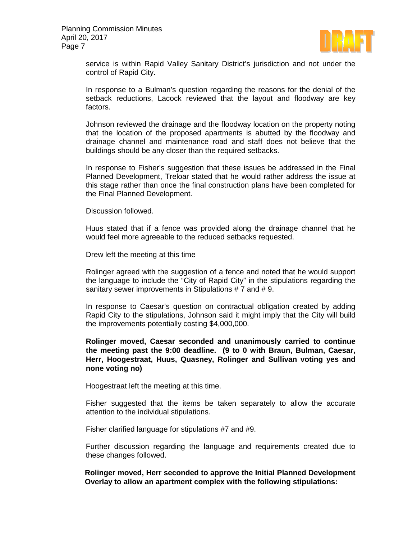

service is within Rapid Valley Sanitary District's jurisdiction and not under the control of Rapid City.

In response to a Bulman's question regarding the reasons for the denial of the setback reductions, Lacock reviewed that the layout and floodway are key factors.

Johnson reviewed the drainage and the floodway location on the property noting that the location of the proposed apartments is abutted by the floodway and drainage channel and maintenance road and staff does not believe that the buildings should be any closer than the required setbacks.

In response to Fisher's suggestion that these issues be addressed in the Final Planned Development, Treloar stated that he would rather address the issue at this stage rather than once the final construction plans have been completed for the Final Planned Development.

Discussion followed.

Huus stated that if a fence was provided along the drainage channel that he would feel more agreeable to the reduced setbacks requested.

Drew left the meeting at this time

Rolinger agreed with the suggestion of a fence and noted that he would support the language to include the "City of Rapid City" in the stipulations regarding the sanitary sewer improvements in Stipulations # 7 and # 9.

In response to Caesar's question on contractual obligation created by adding Rapid City to the stipulations, Johnson said it might imply that the City will build the improvements potentially costing \$4,000,000.

**Rolinger moved, Caesar seconded and unanimously carried to continue the meeting past the 9:00 deadline. (9 to 0 with Braun, Bulman, Caesar, Herr, Hoogestraat, Huus, Quasney, Rolinger and Sullivan voting yes and none voting no)**

Hoogestraat left the meeting at this time.

Fisher suggested that the items be taken separately to allow the accurate attention to the individual stipulations.

Fisher clarified language for stipulations #7 and #9.

Further discussion regarding the language and requirements created due to these changes followed.

**Rolinger moved, Herr seconded to approve the Initial Planned Development Overlay to allow an apartment complex with the following stipulations:**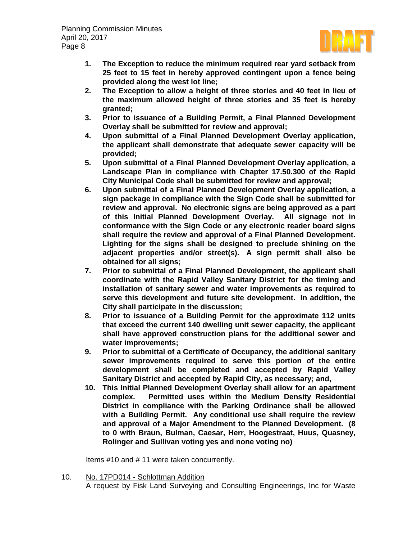

- **1. The Exception to reduce the minimum required rear yard setback from 25 feet to 15 feet in hereby approved contingent upon a fence being provided along the west lot line;**
- **2. The Exception to allow a height of three stories and 40 feet in lieu of the maximum allowed height of three stories and 35 feet is hereby granted;**
- **3. Prior to issuance of a Building Permit, a Final Planned Development Overlay shall be submitted for review and approval;**
- **4. Upon submittal of a Final Planned Development Overlay application, the applicant shall demonstrate that adequate sewer capacity will be provided;**
- **5. Upon submittal of a Final Planned Development Overlay application, a Landscape Plan in compliance with Chapter 17.50.300 of the Rapid City Municipal Code shall be submitted for review and approval;**
- **6. Upon submittal of a Final Planned Development Overlay application, a sign package in compliance with the Sign Code shall be submitted for review and approval. No electronic signs are being approved as a part of this Initial Planned Development Overlay. All signage not in conformance with the Sign Code or any electronic reader board signs shall require the review and approval of a Final Planned Development. Lighting for the signs shall be designed to preclude shining on the adjacent properties and/or street(s). A sign permit shall also be obtained for all signs;**
- **7. Prior to submittal of a Final Planned Development, the applicant shall coordinate with the Rapid Valley Sanitary District for the timing and installation of sanitary sewer and water improvements as required to serve this development and future site development. In addition, the City shall participate in the discussion;**
- **8. Prior to issuance of a Building Permit for the approximate 112 units that exceed the current 140 dwelling unit sewer capacity, the applicant shall have approved construction plans for the additional sewer and water improvements;**
- **9. Prior to submittal of a Certificate of Occupancy, the additional sanitary sewer improvements required to serve this portion of the entire development shall be completed and accepted by Rapid Valley Sanitary District and accepted by Rapid City, as necessary; and,**
- **10. This Initial Planned Development Overlay shall allow for an apartment complex. Permitted uses within the Medium Density Residential District in compliance with the Parking Ordinance shall be allowed with a Building Permit. Any conditional use shall require the review and approval of a Major Amendment to the Planned Development. (8 to 0 with Braun, Bulman, Caesar, Herr, Hoogestraat, Huus, Quasney, Rolinger and Sullivan voting yes and none voting no)**

Items #10 and # 11 were taken concurrently.

10. No. 17PD014 - Schlottman Addition A request by Fisk Land Surveying and Consulting Engineerings, Inc for Waste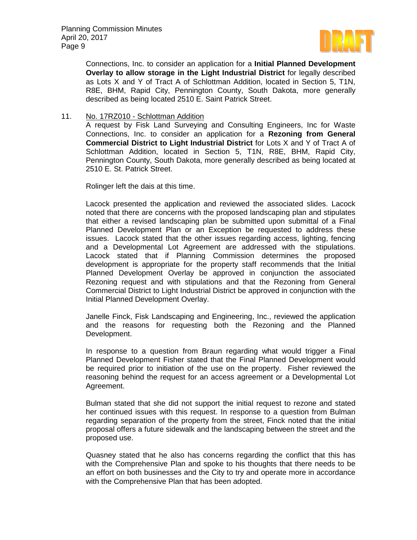

Connections, Inc. to consider an application for a **Initial Planned Development Overlay to allow storage in the Light Industrial District** for legally described as Lots X and Y of Tract A of Schlottman Addition, located in Section 5, T1N, R8E, BHM, Rapid City, Pennington County, South Dakota, more generally described as being located 2510 E. Saint Patrick Street.

#### 11. No. 17RZ010 - Schlottman Addition

A request by Fisk Land Surveying and Consulting Engineers, Inc for Waste Connections, Inc. to consider an application for a **Rezoning from General Commercial District to Light Industrial District** for Lots X and Y of Tract A of Schlottman Addition, located in Section 5, T1N, R8E, BHM, Rapid City, Pennington County, South Dakota, more generally described as being located at 2510 E. St. Patrick Street.

Rolinger left the dais at this time.

Lacock presented the application and reviewed the associated slides. Lacock noted that there are concerns with the proposed landscaping plan and stipulates that either a revised landscaping plan be submitted upon submittal of a Final Planned Development Plan or an Exception be requested to address these issues. Lacock stated that the other issues regarding access, lighting, fencing and a Developmental Lot Agreement are addressed with the stipulations. Lacock stated that if Planning Commission determines the proposed development is appropriate for the property staff recommends that the Initial Planned Development Overlay be approved in conjunction the associated Rezoning request and with stipulations and that the Rezoning from General Commercial District to Light Industrial District be approved in conjunction with the Initial Planned Development Overlay.

Janelle Finck, Fisk Landscaping and Engineering, Inc., reviewed the application and the reasons for requesting both the Rezoning and the Planned Development.

In response to a question from Braun regarding what would trigger a Final Planned Development Fisher stated that the Final Planned Development would be required prior to initiation of the use on the property. Fisher reviewed the reasoning behind the request for an access agreement or a Developmental Lot Agreement.

Bulman stated that she did not support the initial request to rezone and stated her continued issues with this request. In response to a question from Bulman regarding separation of the property from the street, Finck noted that the initial proposal offers a future sidewalk and the landscaping between the street and the proposed use.

Quasney stated that he also has concerns regarding the conflict that this has with the Comprehensive Plan and spoke to his thoughts that there needs to be an effort on both businesses and the City to try and operate more in accordance with the Comprehensive Plan that has been adopted.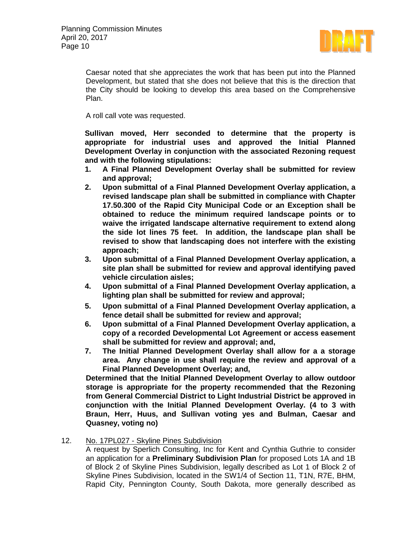

Caesar noted that she appreciates the work that has been put into the Planned Development, but stated that she does not believe that this is the direction that the City should be looking to develop this area based on the Comprehensive Plan.

A roll call vote was requested.

**Sullivan moved, Herr seconded to determine that the property is appropriate for industrial uses and approved the Initial Planned Development Overlay in conjunction with the associated Rezoning request and with the following stipulations:**

- **1. A Final Planned Development Overlay shall be submitted for review and approval;**
- **2. Upon submittal of a Final Planned Development Overlay application, a revised landscape plan shall be submitted in compliance with Chapter 17.50.300 of the Rapid City Municipal Code or an Exception shall be obtained to reduce the minimum required landscape points or to waive the irrigated landscape alternative requirement to extend along the side lot lines 75 feet. In addition, the landscape plan shall be revised to show that landscaping does not interfere with the existing approach;**
- **3. Upon submittal of a Final Planned Development Overlay application, a site plan shall be submitted for review and approval identifying paved vehicle circulation aisles;**
- **4. Upon submittal of a Final Planned Development Overlay application, a lighting plan shall be submitted for review and approval;**
- **5. Upon submittal of a Final Planned Development Overlay application, a fence detail shall be submitted for review and approval;**
- **6. Upon submittal of a Final Planned Development Overlay application, a copy of a recorded Developmental Lot Agreement or access easement shall be submitted for review and approval; and,**
- **7. The Initial Planned Development Overlay shall allow for a a storage area. Any change in use shall require the review and approval of a Final Planned Development Overlay; and,**

**Determined that the Initial Planned Development Overlay to allow outdoor storage is appropriate for the property recommended that the Rezoning from General Commercial District to Light Industrial District be approved in conjunction with the Initial Planned Development Overlay. (4 to 3 with Braun, Herr, Huus, and Sullivan voting yes and Bulman, Caesar and Quasney, voting no)**

12. No. 17PL027 - Skyline Pines Subdivision

A request by Sperlich Consulting, Inc for Kent and Cynthia Guthrie to consider an application for a **Preliminary Subdivision Plan** for proposed Lots 1A and 1B of Block 2 of Skyline Pines Subdivision, legally described as Lot 1 of Block 2 of Skyline Pines Subdivision, located in the SW1/4 of Section 11, T1N, R7E, BHM, Rapid City, Pennington County, South Dakota, more generally described as